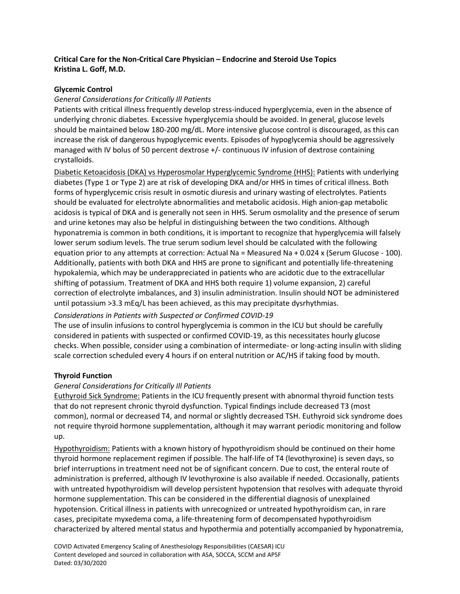# **Critical Care for the Non-Critical Care Physician – Endocrine and Steroid Use Topics Kristina L. Goff, M.D.**

### **Glycemic Control**

### *General Considerations for Critically Ill Patients*

Patients with critical illness frequently develop stress-induced hyperglycemia, even in the absence of underlying chronic diabetes. Excessive hyperglycemia should be avoided. In general, glucose levels should be maintained below 180-200 mg/dL. More intensive glucose control is discouraged, as this can increase the risk of dangerous hypoglycemic events. Episodes of hypoglycemia should be aggressively managed with IV bolus of 50 percent dextrose +/- continuous IV infusion of dextrose containing crystalloids.

Diabetic Ketoacidosis (DKA) vs Hyperosmolar Hyperglycemic Syndrome (HHS): Patients with underlying diabetes (Type 1 or Type 2) are at risk of developing DKA and/or HHS in times of critical illness. Both forms of hyperglycemic crisis result in osmotic diuresis and urinary wasting of electrolytes. Patients should be evaluated for electrolyte abnormalities and metabolic acidosis. High anion-gap metabolic acidosis is typical of DKA and is generally not seen in HHS. Serum osmolality and the presence of serum and urine ketones may also be helpful in distinguishing between the two conditions. Although hyponatremia is common in both conditions, it is important to recognize that hyperglycemia will falsely lower serum sodium levels. The true serum sodium level should be calculated with the following equation prior to any attempts at correction: Actual Na = Measured Na + 0.024 x (Serum Glucose - 100). Additionally, patients with both DKA and HHS are prone to significant and potentially life-threatening hypokalemia, which may be underappreciated in patients who are acidotic due to the extracellular shifting of potassium. Treatment of DKA and HHS both require 1) volume expansion, 2) careful correction of electrolyte imbalances, and 3) insulin administration. Insulin should NOT be administered until potassium >3.3 mEq/L has been achieved, as this may precipitate dysrhythmias.

### *Considerations in Patients with Suspected or Confirmed COVID-19*

The use of insulin infusions to control hyperglycemia is common in the ICU but should be carefully considered in patients with suspected or confirmed COVID-19, as this necessitates hourly glucose checks. When possible, consider using a combination of intermediate- or long-acting insulin with sliding scale correction scheduled every 4 hours if on enteral nutrition or AC/HS if taking food by mouth.

### **Thyroid Function**

## *General Considerations for Critically Ill Patients*

Euthyroid Sick Syndrome: Patients in the ICU frequently present with abnormal thyroid function tests that do not represent chronic thyroid dysfunction. Typical findings include decreased T3 (most common), normal or decreased T4, and normal or slightly decreased TSH. Euthyroid sick syndrome does not require thyroid hormone supplementation, although it may warrant periodic monitoring and follow up.

Hypothyroidism: Patients with a known history of hypothyroidism should be continued on their home thyroid hormone replacement regimen if possible. The half-life of T4 (levothyroxine) is seven days, so brief interruptions in treatment need not be of significant concern. Due to cost, the enteral route of administration is preferred, although IV levothyroxine is also available if needed. Occasionally, patients with untreated hypothyroidism will develop persistent hypotension that resolves with adequate thyroid hormone supplementation. This can be considered in the differential diagnosis of unexplained hypotension. Critical illness in patients with unrecognized or untreated hypothyroidism can, in rare cases, precipitate myxedema coma, a life-threatening form of decompensated hypothyroidism characterized by altered mental status and hypothermia and potentially accompanied by hyponatremia,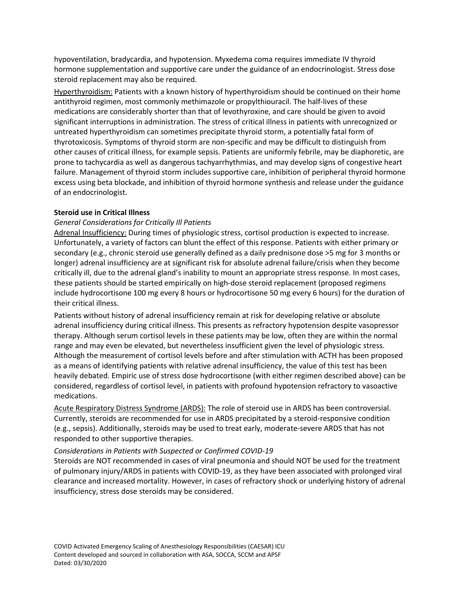hypoventilation, bradycardia, and hypotension. Myxedema coma requires immediate IV thyroid hormone supplementation and supportive care under the guidance of an endocrinologist. Stress dose steroid replacement may also be required.

Hyperthyroidism: Patients with a known history of hyperthyroidism should be continued on their home antithyroid regimen, most commonly methimazole or propylthiouracil. The half-lives of these medications are considerably shorter than that of levothyroxine, and care should be given to avoid significant interruptions in administration. The stress of critical illness in patients with unrecognized or untreated hyperthyroidism can sometimes precipitate thyroid storm, a potentially fatal form of thyrotoxicosis. Symptoms of thyroid storm are non-specific and may be difficult to distinguish from other causes of critical illness, for example sepsis. Patients are uniformly febrile, may be diaphoretic, are prone to tachycardia as well as dangerous tachyarrhythmias, and may develop signs of congestive heart failure. Management of thyroid storm includes supportive care, inhibition of peripheral thyroid hormone excess using beta blockade, and inhibition of thyroid hormone synthesis and release under the guidance of an endocrinologist.

### **Steroid use in Critical Illness**

### *General Considerations for Critically Ill Patients*

Adrenal Insufficiency: During times of physiologic stress, cortisol production is expected to increase. Unfortunately, a variety of factors can blunt the effect of this response. Patients with either primary or secondary (e.g., chronic steroid use generally defined as a daily prednisone dose >5 mg for 3 months or longer) adrenal insufficiency are at significant risk for absolute adrenal failure/crisis when they become critically ill, due to the adrenal gland's inability to mount an appropriate stress response. In most cases, these patients should be started empirically on high-dose steroid replacement (proposed regimens include hydrocortisone 100 mg every 8 hours or hydrocortisone 50 mg every 6 hours) for the duration of their critical illness.

Patients without history of adrenal insufficiency remain at risk for developing relative or absolute adrenal insufficiency during critical illness. This presents as refractory hypotension despite vasopressor therapy. Although serum cortisol levels in these patients may be low, often they are within the normal range and may even be elevated, but nevertheless insufficient given the level of physiologic stress. Although the measurement of cortisol levels before and after stimulation with ACTH has been proposed as a means of identifying patients with relative adrenal insufficiency, the value of this test has been heavily debated. Empiric use of stress dose hydrocortisone (with either regimen described above) can be considered, regardless of cortisol level, in patients with profound hypotension refractory to vasoactive medications.

Acute Respiratory Distress Syndrome (ARDS): The role of steroid use in ARDS has been controversial. Currently, steroids are recommended for use in ARDS precipitated by a steroid-responsive condition (e.g., sepsis). Additionally, steroids may be used to treat early, moderate-severe ARDS that has not responded to other supportive therapies.

### *Considerations in Patients with Suspected or Confirmed COVID-19*

Steroids are NOT recommended in cases of viral pneumonia and should NOT be used for the treatment of pulmonary injury/ARDS in patients with COVID-19, as they have been associated with prolonged viral clearance and increased mortality. However, in cases of refractory shock or underlying history of adrenal insufficiency, stress dose steroids may be considered.